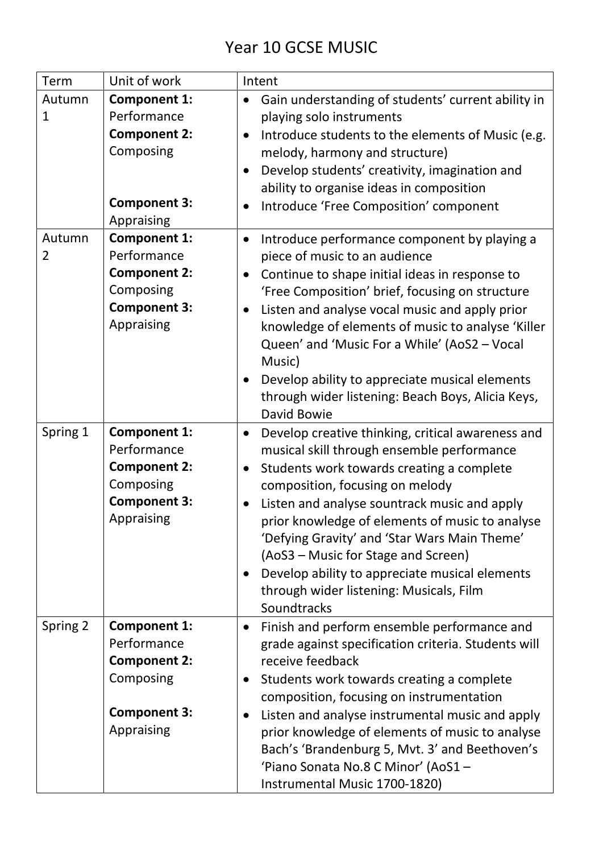## Year 10 GCSE MUSIC

| Term                     | Unit of work                                                                                                | Intent                                                                                                                                                                                                                                                                                                                                                                                                                                                                                                                                    |
|--------------------------|-------------------------------------------------------------------------------------------------------------|-------------------------------------------------------------------------------------------------------------------------------------------------------------------------------------------------------------------------------------------------------------------------------------------------------------------------------------------------------------------------------------------------------------------------------------------------------------------------------------------------------------------------------------------|
| Autumn<br>1              | <b>Component 1:</b><br>Performance<br><b>Component 2:</b><br>Composing<br><b>Component 3:</b><br>Appraising | Gain understanding of students' current ability in<br>$\bullet$<br>playing solo instruments<br>Introduce students to the elements of Music (e.g.<br>$\bullet$<br>melody, harmony and structure)<br>Develop students' creativity, imagination and<br>$\bullet$<br>ability to organise ideas in composition<br>Introduce 'Free Composition' component<br>$\bullet$                                                                                                                                                                          |
| Autumn<br>$\overline{2}$ | <b>Component 1:</b><br>Performance<br><b>Component 2:</b><br>Composing<br><b>Component 3:</b><br>Appraising | Introduce performance component by playing a<br>$\bullet$<br>piece of music to an audience<br>Continue to shape initial ideas in response to<br>$\bullet$<br>'Free Composition' brief, focusing on structure<br>Listen and analyse vocal music and apply prior<br>$\bullet$<br>knowledge of elements of music to analyse 'Killer<br>Queen' and 'Music For a While' (AoS2 - Vocal<br>Music)<br>Develop ability to appreciate musical elements<br>through wider listening: Beach Boys, Alicia Keys,<br><b>David Bowie</b>                   |
| Spring 1                 | <b>Component 1:</b><br>Performance<br><b>Component 2:</b><br>Composing<br><b>Component 3:</b><br>Appraising | Develop creative thinking, critical awareness and<br>$\bullet$<br>musical skill through ensemble performance<br>Students work towards creating a complete<br>$\bullet$<br>composition, focusing on melody<br>Listen and analyse sountrack music and apply<br>$\bullet$<br>prior knowledge of elements of music to analyse<br>'Defying Gravity' and 'Star Wars Main Theme'<br>(AoS3 – Music for Stage and Screen)<br>Develop ability to appreciate musical elements<br>$\bullet$<br>through wider listening: Musicals, Film<br>Soundtracks |
| Spring 2                 | <b>Component 1:</b><br>Performance<br><b>Component 2:</b><br>Composing<br><b>Component 3:</b><br>Appraising | Finish and perform ensemble performance and<br>$\bullet$<br>grade against specification criteria. Students will<br>receive feedback<br>Students work towards creating a complete<br>$\bullet$<br>composition, focusing on instrumentation<br>Listen and analyse instrumental music and apply<br>$\bullet$<br>prior knowledge of elements of music to analyse<br>Bach's 'Brandenburg 5, Mvt. 3' and Beethoven's<br>'Piano Sonata No.8 C Minor' (AoS1-<br>Instrumental Music 1700-1820)                                                     |